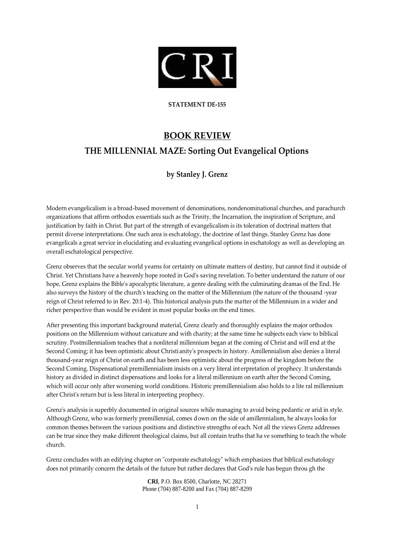

**STATEMENT DE-155**

## **BOOK REVIEW**

## **THE MILLENNIAL MAZE: Sorting Out Evangelical Options**

## **by Stanley J. Grenz**

Modern evangelicalism is a broad-based movement of denominations, nondenominational churches, and parachurch organizations that affirm orthodox essentials such as the Trinity, the Incarnation, the inspiration of Scripture, and justification by faith in Christ. But part of the strength of evangelicalism is its toleration of doctrinal matters that permit diverse interpretations. One such area is eschatology, the doctrine of last things. Stanley Grenz has done evangelicals a great service in elucidating and evaluating evangelical options in eschatology as well as developing an overall eschatological perspective.

Grenz observes that the secular world yearns for certainty on ultimate matters of destiny, but cannot find it outside of Christ. Yet Christians have a heavenly hope rooted in God's saving revelation. To better understand the nature of our hope, Grenz explains the Bible's apocalyptic literature, a genre dealing with the culminating dramas of the End. He also surveys the history of the church's teaching on the matter of the Millennium (the nature of the thousand -year reign of Christ referred to in Rev. 20:1-4). This historical analysis puts the matter of the Millennium in a wider and richer perspective than would be evident in most popular books on the end times.

After presenting this important background material, Grenz clearly and thoroughly explains the major orthodox positions on the Millennium without caricature and with charity; at the same time he subjects each view to biblical scrutiny. Postmillennialism teaches that a nonliteral millennium began at the coming of Christ and will end at the Second Coming; it has been optimistic about Christianity's prospects in history. Amillennialism also denies a literal thousand-year reign of Christ on earth and has been less optimistic about the progress of the kingdom before the Second Coming. Dispensational premillennialism insists on a very literal int erpretation of prophecy. It understands history as divided in distinct dispensations and looks for a literal millennium on earth after the Second Coming, which will occur only after worsening world conditions. Historic premillennialism also holds to a lite ral millennium after Christ's return but is less literal in interpreting prophecy.

Grenz's analysis is superbly documented in original sources while managing to avoid being pedantic or arid in style. Although Grenz, who was formerly premillennial, comes down on the side of amillennialism, he always looks for common themes between the various positions and distinctive strengths of each. Not all the views Grenz addresses can be true since they make different theological claims, but all contain truths that ha ve something to teach the whole church.

Grenz concludes with an edifying chapter on "corporate eschatology" which emphasizes that biblical eschatology does not primarily concern the details of the future but rather declares that God's rule has begun throu gh the

> **CRI**, P.O. Box 8500, Charlotte, NC 28271 Phone (704) 887-8200 and Fax (704) 887-8299